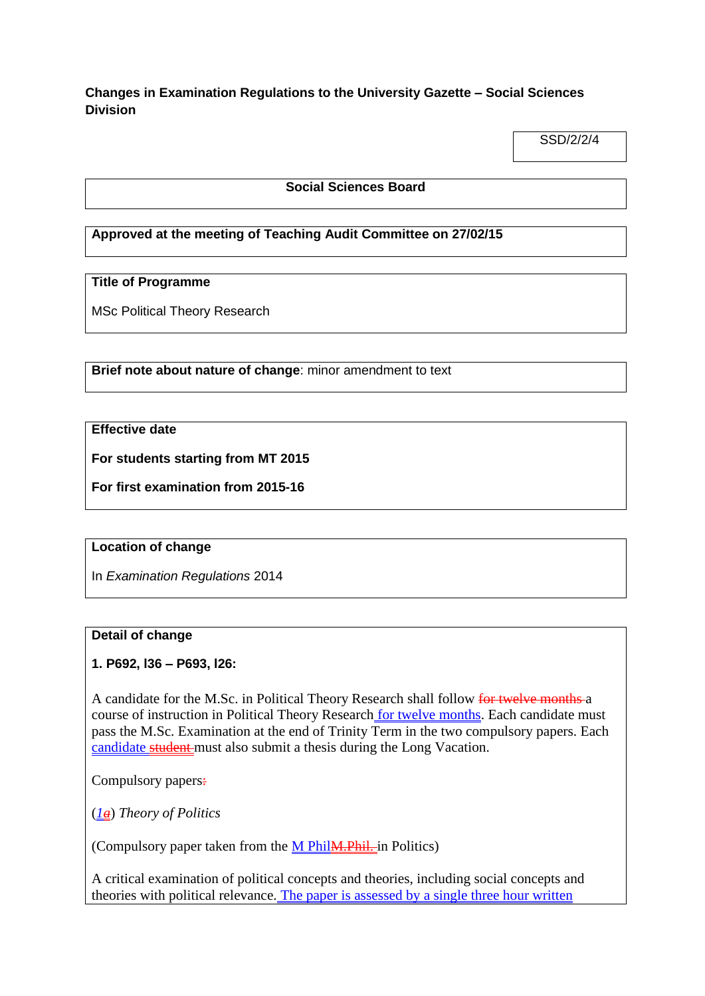**Changes in Examination Regulations to the University Gazette – Social Sciences Division**

SSD/2/2/4

### **Social Sciences Board**

## **Approved at the meeting of Teaching Audit Committee on 27/02/15**

## **Title of Programme**

MSc Political Theory Research

**Brief note about nature of change**: minor amendment to text

## **Effective date**

**For students starting from MT 2015**

**For first examination from 2015-16**

#### **Location of change**

In *Examination Regulations* 2014

#### **Detail of change**

## **1. P692, l36 – P693, l26:**

A candidate for the M.Sc. in Political Theory Research shall follow for twelve months a course of instruction in Political Theory Research for twelve months. Each candidate must pass the M.Sc. Examination at the end of Trinity Term in the two compulsory papers. Each candidate student must also submit a thesis during the Long Vacation.

Compulsory papers:

(*1a*) *Theory of Politics*

(Compulsory paper taken from the M PhilM.Phil. in Politics)

A critical examination of political concepts and theories, including social concepts and theories with political relevance. The paper is assessed by a single three hour written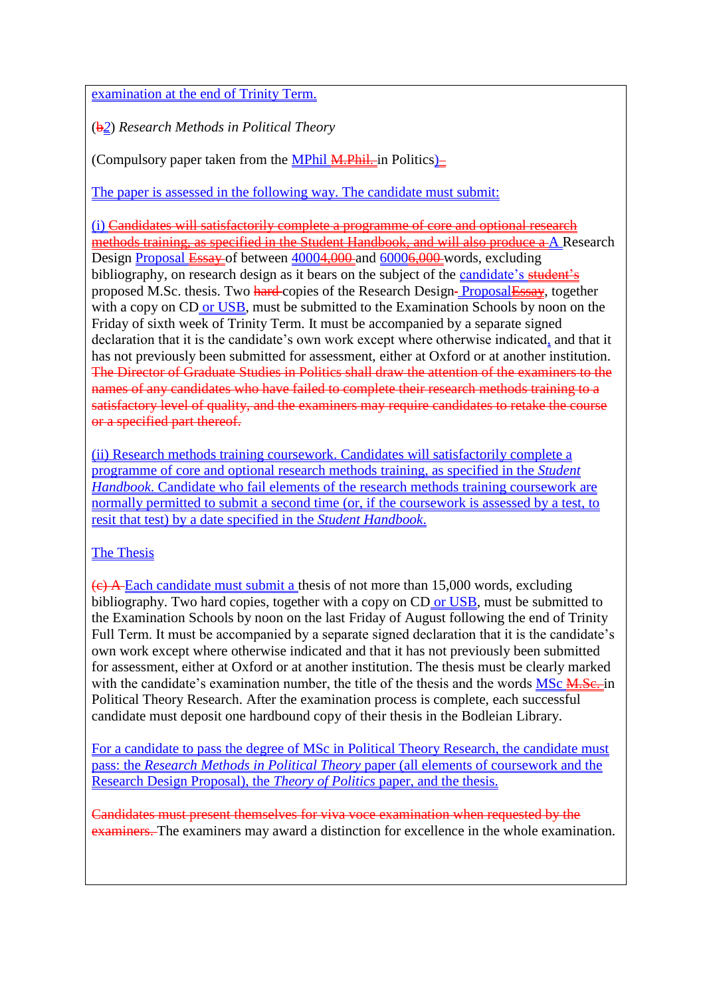examination at the end of Trinity Term.

(b*2*) *Research Methods in Political Theory*

(Compulsory paper taken from the **MPhil M.Phil.** in Politics)-

The paper is assessed in the following way. The candidate must submit:

(i) Candidates will satisfactorily complete a programme of core and optional research methods training, as specified in the Student Handbook, and will also produce a A Research Design Proposal Essay of between 40004,000 and 60006,000 words, excluding bibliography, on research design as it bears on the subject of the candidate's student's proposed M.Sc. thesis. Two hard-copies of the Research Design-ProposalEssay, together with a copy on CD or USB, must be submitted to the Examination Schools by noon on the Friday of sixth week of Trinity Term. It must be accompanied by a separate signed declaration that it is the candidate's own work except where otherwise indicated, and that it has not previously been submitted for assessment, either at Oxford or at another institution. The Director of Graduate Studies in Politics shall draw the attention of the examiners to the names of any candidates who have failed to complete their research methods training to a satisfactory level of quality, and the examiners may require candidates to retake the course or a specified part thereof.

(ii) Research methods training coursework. Candidates will satisfactorily complete a programme of core and optional research methods training, as specified in the *Student Handbook*. Candidate who fail elements of the research methods training coursework are normally permitted to submit a second time (or, if the coursework is assessed by a test, to resit that test) by a date specified in the *Student Handbook*.

## The Thesis

(c) A Each candidate must submit a thesis of not more than 15,000 words, excluding bibliography. Two hard copies, together with a copy on CD or USB, must be submitted to the Examination Schools by noon on the last Friday of August following the end of Trinity Full Term. It must be accompanied by a separate signed declaration that it is the candidate's own work except where otherwise indicated and that it has not previously been submitted for assessment, either at Oxford or at another institution. The thesis must be clearly marked with the candidate's examination number, the title of the thesis and the words MSc M.Se. in Political Theory Research. After the examination process is complete, each successful candidate must deposit one hardbound copy of their thesis in the Bodleian Library.

For a candidate to pass the degree of MSc in Political Theory Research, the candidate must pass: the *Research Methods in Political Theory* paper (all elements of coursework and the Research Design Proposal), the *Theory of Politics* paper, and the thesis.

Candidates must present themselves for viva voce examination when requested by the examiners. The examiners may award a distinction for excellence in the whole examination.